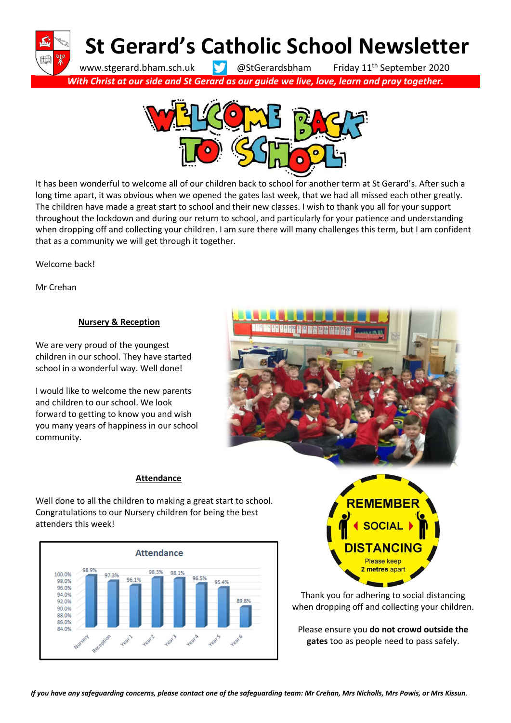St Gerard's Catholic School Newsletter

www.stgerard.bham.sch.uk **@StGerardsbham** Friday 11<sup>th</sup> September 2020 With Christ at our side and St Gerard as our guide we live, love, learn and pray together.



It has been wonderful to welcome all of our children back to school for another term at St Gerard's. After such a long time apart, it was obvious when we opened the gates last week, that we had all missed each other greatly. The children have made a great start to school and their new classes. I wish to thank you all for your support throughout the lockdown and during our return to school, and particularly for your patience and understanding when dropping off and collecting your children. I am sure there will many challenges this term, but I am confident that as a community we will get through it together.

Welcome back!

Mr Crehan

# Nursery & Reception

We are very proud of the youngest children in our school. They have started school in a wonderful way. Well done!

I would like to welcome the new parents and children to our school. We look forward to getting to know you and wish you many years of happiness in our school community.



### Attendance

Well done to all the children to making a great start to school. Congratulations to our Nursery children for being the best attenders this week!





Thank you for adhering to social distancing when dropping off and collecting your children.

Please ensure you do not crowd outside the gates too as people need to pass safely.